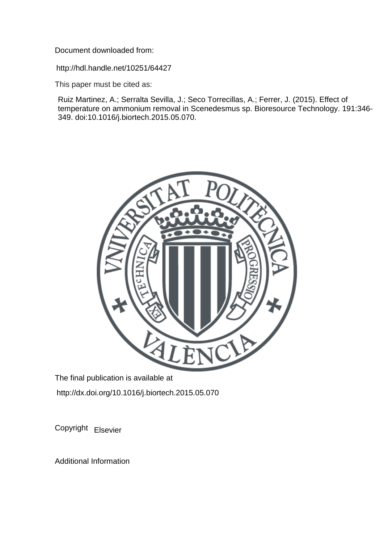Document downloaded from:

http://hdl.handle.net/10251/64427

This paper must be cited as:

Ruiz Martinez, A.; Serralta Sevilla, J.; Seco Torrecillas, A.; Ferrer, J. (2015). Effect of temperature on ammonium removal in Scenedesmus sp. Bioresource Technology. 191:346- 349. doi:10.1016/j.biortech.2015.05.070.



The final publication is available at http://dx.doi.org/10.1016/j.biortech.2015.05.070

Copyright Elsevier

Additional Information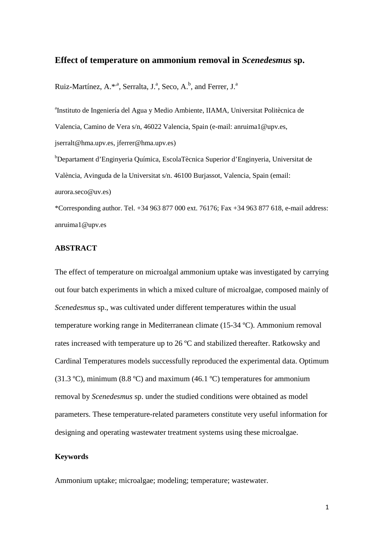# **Effect of temperature on ammonium removal in** *Scenedesmus* **sp.**

Ruiz-Martínez, A.\*<sup>,a</sup>, Serralta, J.<sup>a</sup>, Seco, A.<sup>b</sup>, and Ferrer, J.<sup>a</sup>

a Instituto de Ingeniería del Agua y Medio Ambiente, IIAMA, Universitat Politècnica de Valencia, Camino de Vera s/n, 46022 Valencia, Spain (e-mail: anruima1@upv.es, jserralt@hma.upv.es, jferrer@hma.upv.es)

b Departament d'Enginyeria Química, EscolaTècnica Superior d'Enginyeria, Universitat de València, Avinguda de la Universitat s/n. 46100 Burjassot, Valencia, Spain (email: aurora.seco@uv.es)

\*Corresponding author. Tel. +34 963 877 000 ext. 76176; Fax +34 963 877 618, e-mail address: anruima1@upv.es

### **ABSTRACT**

The effect of temperature on microalgal ammonium uptake was investigated by carrying out four batch experiments in which a mixed culture of microalgae, composed mainly of *Scenedesmus* sp., was cultivated under different temperatures within the usual temperature working range in Mediterranean climate (15-34 ºC). Ammonium removal rates increased with temperature up to 26 ºC and stabilized thereafter. Ratkowsky and Cardinal Temperatures models successfully reproduced the experimental data. Optimum (31.3 °C), minimum (8.8 °C) and maximum (46.1 °C) temperatures for ammonium removal by *Scenedesmus* sp. under the studied conditions were obtained as model parameters. These temperature-related parameters constitute very useful information for designing and operating wastewater treatment systems using these microalgae.

# **Keywords**

Ammonium uptake; microalgae; modeling; temperature; wastewater.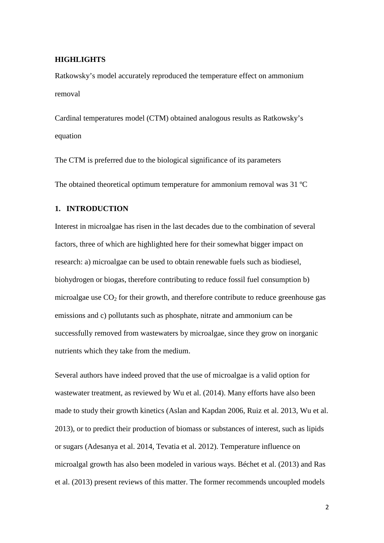#### **HIGHLIGHTS**

Ratkowsky's model accurately reproduced the temperature effect on ammonium removal

Cardinal temperatures model (CTM) obtained analogous results as Ratkowsky's equation

The CTM is preferred due to the biological significance of its parameters

The obtained theoretical optimum temperature for ammonium removal was 31 ºC

# **1. INTRODUCTION**

Interest in microalgae has risen in the last decades due to the combination of several factors, three of which are highlighted here for their somewhat bigger impact on research: a) microalgae can be used to obtain renewable fuels such as biodiesel, biohydrogen or biogas, therefore contributing to reduce fossil fuel consumption b) microalgae use  $CO<sub>2</sub>$  for their growth, and therefore contribute to reduce greenhouse gas emissions and c) pollutants such as phosphate, nitrate and ammonium can be successfully removed from wastewaters by microalgae, since they grow on inorganic nutrients which they take from the medium.

Several authors have indeed proved that the use of microalgae is a valid option for wastewater treatment, as reviewed by Wu et al. (2014). Many efforts have also been made to study their growth kinetics (Aslan and Kapdan 2006, Ruiz et al. 2013, Wu et al. 2013), or to predict their production of biomass or substances of interest, such as lipids or sugars (Adesanya et al. 2014, Tevatia et al. 2012). Temperature influence on microalgal growth has also been modeled in various ways. Béchet et al. (2013) and Ras et al. (2013) present reviews of this matter. The former recommends uncoupled models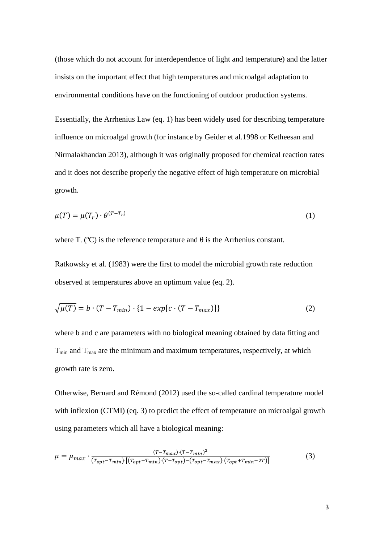(those which do not account for interdependence of light and temperature) and the latter insists on the important effect that high temperatures and microalgal adaptation to environmental conditions have on the functioning of outdoor production systems.

Essentially, the Arrhenius Law (eq. 1) has been widely used for describing temperature influence on microalgal growth (for instance by Geider et al.1998 or Ketheesan and Nirmalakhandan 2013), although it was originally proposed for chemical reaction rates and it does not describe properly the negative effect of high temperature on microbial growth.

$$
\mu(T) = \mu(T_r) \cdot \theta^{(T - T_r)} \tag{1}
$$

where  $T_r$  (°C) is the reference temperature and  $\theta$  is the Arrhenius constant.

Ratkowsky et al. (1983) were the first to model the microbial growth rate reduction observed at temperatures above an optimum value (eq. 2).

$$
\sqrt{\mu(T)} = b \cdot (T - T_{min}) \cdot \{1 - exp[c \cdot (T - T_{max})]\}\tag{2}
$$

where b and c are parameters with no biological meaning obtained by data fitting and  $T_{\text{min}}$  and  $T_{\text{max}}$  are the minimum and maximum temperatures, respectively, at which growth rate is zero.

Otherwise, Bernard and Rémond (2012) used the so-called cardinal temperature model with inflexion (CTMI) (eq. 3) to predict the effect of temperature on microalgal growth using parameters which all have a biological meaning:

$$
\mu = \mu_{max} \cdot \frac{(T - T_{max}) \cdot (T - T_{min})^2}{(T_{opt} - T_{min}) \cdot [(T_{opt} - T_{min}) \cdot (T - T_{opt}) - (T_{opt} - T_{max}) \cdot (T_{opt} + T_{min} - 2T)]}
$$
(3)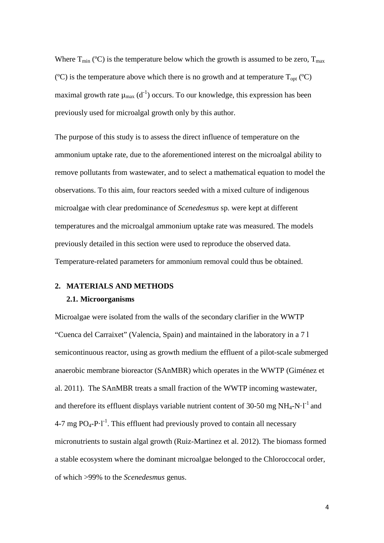Where  $T_{min}$  (°C) is the temperature below which the growth is assumed to be zero,  $T_{max}$ ( $^{\circ}$ C) is the temperature above which there is no growth and at temperature  $T_{\text{opt}}$  ( $^{\circ}$ C) maximal growth rate  $\mu_{max}$  (d<sup>-1</sup>) occurs. To our knowledge, this expression has been previously used for microalgal growth only by this author.

The purpose of this study is to assess the direct influence of temperature on the ammonium uptake rate, due to the aforementioned interest on the microalgal ability to remove pollutants from wastewater, and to select a mathematical equation to model the observations. To this aim, four reactors seeded with a mixed culture of indigenous microalgae with clear predominance of *Scenedesmus* sp. were kept at different temperatures and the microalgal ammonium uptake rate was measured. The models previously detailed in this section were used to reproduce the observed data. Temperature-related parameters for ammonium removal could thus be obtained.

# **2. MATERIALS AND METHODS 2.1. Microorganisms**

Microalgae were isolated from the walls of the secondary clarifier in the WWTP "Cuenca del Carraixet" (Valencia, Spain) and maintained in the laboratory in a 7 l semicontinuous reactor, using as growth medium the effluent of a pilot-scale submerged anaerobic membrane bioreactor (SAnMBR) which operates in the WWTP (Giménez et al. 2011). The SAnMBR treats a small fraction of the WWTP incoming wastewater, and therefore its effluent displays variable nutrient content of 30-50 mg  $NH_4-N·l^1$  and  $4-7$  mg PO<sub>4</sub>-P $\cdot$ l<sup>-1</sup>. This effluent had previously proved to contain all necessary micronutrients to sustain algal growth (Ruiz-Martinez et al. 2012). The biomass formed a stable ecosystem where the dominant microalgae belonged to the Chloroccocal order, of which >99% to the *Scenedesmus* genus.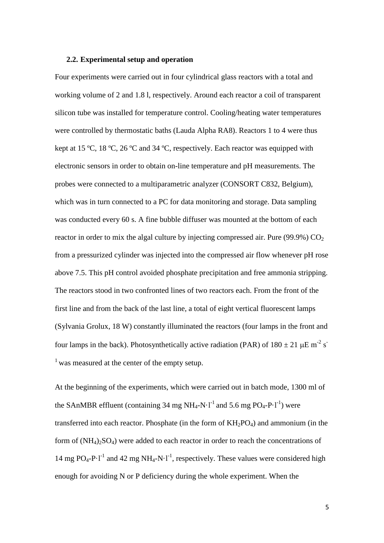#### **2.2. Experimental setup and operation**

Four experiments were carried out in four cylindrical glass reactors with a total and working volume of 2 and 1.8 l, respectively. Around each reactor a coil of transparent silicon tube was installed for temperature control. Cooling/heating water temperatures were controlled by thermostatic baths (Lauda Alpha RA8). Reactors 1 to 4 were thus kept at 15 ºC, 18 ºC, 26 ºC and 34 ºC, respectively. Each reactor was equipped with electronic sensors in order to obtain on-line temperature and pH measurements. The probes were connected to a multiparametric analyzer (CONSORT C832, Belgium), which was in turn connected to a PC for data monitoring and storage. Data sampling was conducted every 60 s. A fine bubble diffuser was mounted at the bottom of each reactor in order to mix the algal culture by injecting compressed air. Pure (99.9%)  $CO<sub>2</sub>$ from a pressurized cylinder was injected into the compressed air flow whenever pH rose above 7.5. This pH control avoided phosphate precipitation and free ammonia stripping. The reactors stood in two confronted lines of two reactors each. From the front of the first line and from the back of the last line, a total of eight vertical fluorescent lamps (Sylvania Grolux, 18 W) constantly illuminated the reactors (four lamps in the front and four lamps in the back). Photosynthetically active radiation (PAR) of  $180 \pm 21 \mu E m^{-2} s^{-1}$  $<sup>1</sup>$  was measured at the center of the empty setup.</sup>

At the beginning of the experiments, which were carried out in batch mode, 1300 ml of the SAnMBR effluent (containing 34 mg NH<sub>4</sub>-N·l<sup>-1</sup> and 5.6 mg PO<sub>4</sub>-P·l<sup>-1</sup>) were transferred into each reactor. Phosphate (in the form of  $KH_2PO_4$ ) and ammonium (in the form of  $(NH_4)$ <sub>2</sub>SO<sub>4</sub>) were added to each reactor in order to reach the concentrations of 14 mg PO<sub>4</sub>-P·l<sup>-1</sup> and 42 mg NH<sub>4</sub>-N·l<sup>-1</sup>, respectively. These values were considered high enough for avoiding N or P deficiency during the whole experiment. When the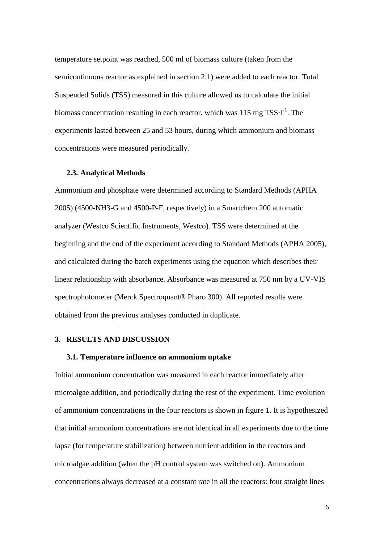temperature setpoint was reached, 500 ml of biomass culture (taken from the semicontinuous reactor as explained in section 2.1) were added to each reactor. Total Suspended Solids (TSS) measured in this culture allowed us to calculate the initial biomass concentration resulting in each reactor, which was  $115 \text{ mg TSS-I}^{-1}$ . The experiments lasted between 25 and 53 hours, during which ammonium and biomass concentrations were measured periodically.

#### **2.3. Analytical Methods**

Ammonium and phosphate were determined according to Standard Methods (APHA 2005) (4500-NH3-G and 4500-P-F, respectively) in a Smartchem 200 automatic analyzer (Westco Scientific Instruments, Westco). TSS were determined at the beginning and the end of the experiment according to Standard Methods (APHA 2005), and calculated during the batch experiments using the equation which describes their linear relationship with absorbance. Absorbance was measured at 750 nm by a UV-VIS spectrophotometer (Merck Spectroquant® Pharo 300). All reported results were obtained from the previous analyses conducted in duplicate.

# **3. RESULTS AND DISCUSSION**

### **3.1. Temperature influence on ammonium uptake**

Initial ammonium concentration was measured in each reactor immediately after microalgae addition, and periodically during the rest of the experiment. Time evolution of ammonium concentrations in the four reactors is shown in figure 1. It is hypothesized that initial ammonium concentrations are not identical in all experiments due to the time lapse (for temperature stabilization) between nutrient addition in the reactors and microalgae addition (when the pH control system was switched on). Ammonium concentrations always decreased at a constant rate in all the reactors: four straight lines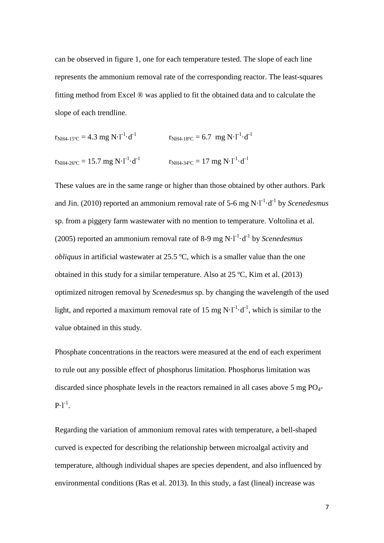can be observed in figure 1, one for each temperature tested. The slope of each line represents the ammonium removal rate of the corresponding reactor. The least-squares fitting method from Excel ® was applied to fit the obtained data and to calculate the slope of each trendline.

$$
r_{NH4-15\degree C} = 4.3 \text{ mg N} \cdot l^{-1} \cdot d^{-1}
$$
  
\n $r_{NH4-18\degree C} = 6.7 \text{ mg N} \cdot l^{-1} \cdot d^{-1}$   
\n $r_{NH4-26\degree C} = 15.7 \text{ mg N} \cdot l^{-1} \cdot d^{-1}$   
\n $r_{NH4-34\degree C} = 17 \text{ mg N} \cdot l^{-1} \cdot d^{-1}$ 

These values are in the same range or higher than those obtained by other authors. Park and Jin. (2010) reported an ammonium removal rate of 5-6 mg N·l<sup>-1</sup>·d<sup>-1</sup> by *Scenedesmus* sp. from a piggery farm wastewater with no mention to temperature. Voltolina et al. (2005) reported an ammonium removal rate of 8-9 mg  $N \cdot l^{-1} \cdot d^{-1}$  by *Scenedesmus obliquus* in artificial wastewater at 25.5 ºC, which is a smaller value than the one obtained in this study for a similar temperature. Also at 25 ºC, Kim et al. (2013) optimized nitrogen removal by *Scenedesmus* sp. by changing the wavelength of the used light, and reported a maximum removal rate of 15 mg  $N \cdot l^{-1} \cdot d^{-1}$ , which is similar to the value obtained in this study.

Phosphate concentrations in the reactors were measured at the end of each experiment to rule out any possible effect of phosphorus limitation. Phosphorus limitation was discarded since phosphate levels in the reactors remained in all cases above 5 mg  $PO<sub>4</sub>$ - $P·l^{-1}$ .

Regarding the variation of ammonium removal rates with temperature, a bell-shaped curved is expected for describing the relationship between microalgal activity and temperature, although individual shapes are species dependent, and also influenced by environmental conditions (Ras et al. 2013). In this study, a fast (lineal) increase was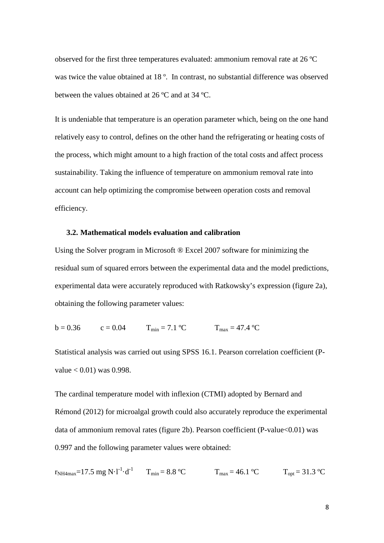observed for the first three temperatures evaluated: ammonium removal rate at 26 ºC was twice the value obtained at 18<sup>°</sup>. In contrast, no substantial difference was observed between the values obtained at 26 ºC and at 34 ºC.

It is undeniable that temperature is an operation parameter which, being on the one hand relatively easy to control, defines on the other hand the refrigerating or heating costs of the process, which might amount to a high fraction of the total costs and affect process sustainability. Taking the influence of temperature on ammonium removal rate into account can help optimizing the compromise between operation costs and removal efficiency.

### **3.2. Mathematical models evaluation and calibration**

Using the Solver program in Microsoft ® Excel 2007 software for minimizing the residual sum of squared errors between the experimental data and the model predictions, experimental data were accurately reproduced with Ratkowsky's expression (figure 2a), obtaining the following parameter values:

$$
b = 0.36 \t c = 0.04 \t T_{min} = 7.1 \t C \t T_{max} = 47.4 \t C
$$

Statistical analysis was carried out using SPSS 16.1. Pearson correlation coefficient (P $value < 0.01$ ) was 0.998.

The cardinal temperature model with inflexion (CTMI) adopted by Bernard and Rémond (2012) for microalgal growth could also accurately reproduce the experimental data of ammonium removal rates (figure 2b). Pearson coefficient (P-value<0.01) was 0.997 and the following parameter values were obtained:

 $r_{NH4max}$ =17.5 mg N·l<sup>-1</sup>·d<sup>-1</sup>  $T_{min}$  = 8.8 °C  $T_{max}$  = 46.1 °C  $T_{opt}$  = 31.3 °C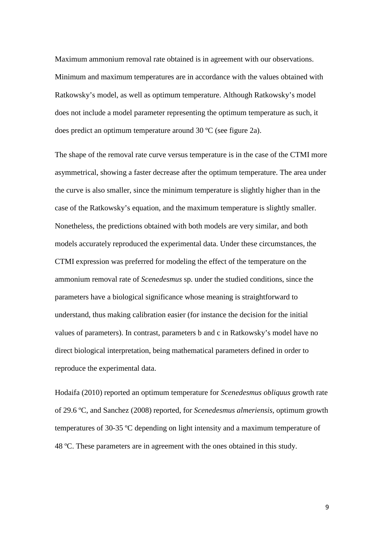Maximum ammonium removal rate obtained is in agreement with our observations. Minimum and maximum temperatures are in accordance with the values obtained with Ratkowsky's model, as well as optimum temperature. Although Ratkowsky's model does not include a model parameter representing the optimum temperature as such, it does predict an optimum temperature around 30 ºC (see figure 2a).

The shape of the removal rate curve versus temperature is in the case of the CTMI more asymmetrical, showing a faster decrease after the optimum temperature. The area under the curve is also smaller, since the minimum temperature is slightly higher than in the case of the Ratkowsky's equation, and the maximum temperature is slightly smaller. Nonetheless, the predictions obtained with both models are very similar, and both models accurately reproduced the experimental data. Under these circumstances, the CTMI expression was preferred for modeling the effect of the temperature on the ammonium removal rate of *Scenedesmus* sp. under the studied conditions, since the parameters have a biological significance whose meaning is straightforward to understand, thus making calibration easier (for instance the decision for the initial values of parameters). In contrast, parameters b and c in Ratkowsky's model have no direct biological interpretation, being mathematical parameters defined in order to reproduce the experimental data.

Hodaifa (2010) reported an optimum temperature for *Scenedesmus obliquus* growth rate of 29.6 ºC, and Sanchez (2008) reported, for *Scenedesmus almeriensis*, optimum growth temperatures of 30-35 ºC depending on light intensity and a maximum temperature of 48 ºC. These parameters are in agreement with the ones obtained in this study.

9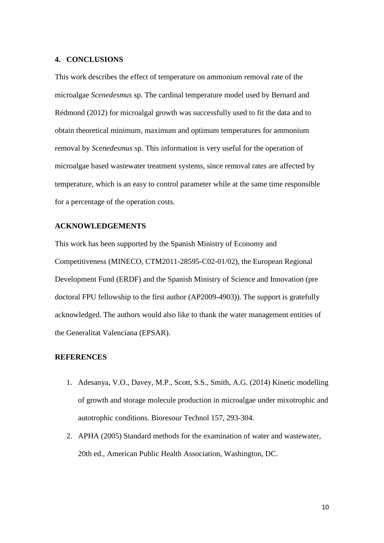#### **4. CONCLUSIONS**

This work describes the effect of temperature on ammonium removal rate of the microalgae *Scenedesmus* sp. The cardinal temperature model used by Bernard and Rédmond (2012) for microalgal growth was successfully used to fit the data and to obtain theoretical minimum, maximum and optimum temperatures for ammonium removal by *Scenedesmus* sp. This information is very useful for the operation of microalgae based wastewater treatment systems, since removal rates are affected by temperature, which is an easy to control parameter while at the same time responsible for a percentage of the operation costs.

## **ACKNOWLEDGEMENTS**

This work has been supported by the Spanish Ministry of Economy and Competitiveness (MINECO, CTM2011-28595-C02-01/02), the European Regional Development Fund (ERDF) and the Spanish Ministry of Science and Innovation (pre doctoral FPU fellowship to the first author (AP2009-4903)). The support is gratefully acknowledged. The authors would also like to thank the water management entities of the Generalitat Valenciana (EPSAR).

### **REFERENCES**

- 1. Adesanya, V.O., Davey, M.P., Scott, S.S., Smith, A.G. (2014) Kinetic modelling of growth and storage molecule production in microalgae under mixotrophic and autotrophic conditions. Bioresour Technol 157, 293-304.
- 2. APHA (2005) Standard methods for the examination of water and wastewater, 20th ed., American Public Health Association, Washington, DC.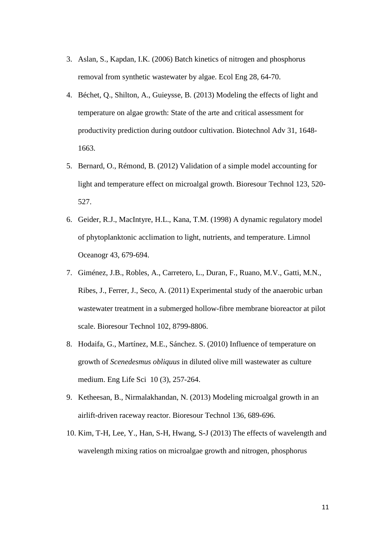- 3. Aslan, S., Kapdan, I.K. (2006) Batch kinetics of nitrogen and phosphorus removal from synthetic wastewater by algae. Ecol Eng 28, 64-70.
- 4. Béchet, Q., Shilton, A., Guieysse, B. (2013) Modeling the effects of light and temperature on algae growth: State of the arte and critical assessment for productivity prediction during outdoor cultivation. Biotechnol Adv 31, 1648- 1663.
- 5. Bernard, O., Rémond, B. (2012) Validation of a simple model accounting for light and temperature effect on microalgal growth. Bioresour Technol 123, 520- 527.
- 6. Geider, R.J., MacIntyre, H.L., Kana, T.M. (1998) A dynamic regulatory model of phytoplanktonic acclimation to light, nutrients, and temperature. Limnol Oceanogr 43, 679-694.
- 7. Giménez, J.B., Robles, A., Carretero, L., Duran, F., Ruano, M.V., Gatti, M.N., Ribes, J., Ferrer, J., Seco, A. (2011) Experimental study of the anaerobic urban wastewater treatment in a submerged hollow-fibre membrane bioreactor at pilot scale. Bioresour Technol 102, 8799-8806.
- 8. Hodaifa, G., Martínez, M.E., Sánchez. S. (2010) Influence of temperature on growth of *Scenedesmus obliquus* in diluted olive mill wastewater as culture medium. Eng Life Sci 10 (3), 257-264.
- 9. Ketheesan, B., Nirmalakhandan, N. (2013) Modeling microalgal growth in an airlift-driven raceway reactor. Bioresour Technol 136, 689-696.
- 10. Kim, T-H, Lee, Y., Han, S-H, Hwang, S-J (2013) The effects of wavelength and wavelength mixing ratios on microalgae growth and nitrogen, phosphorus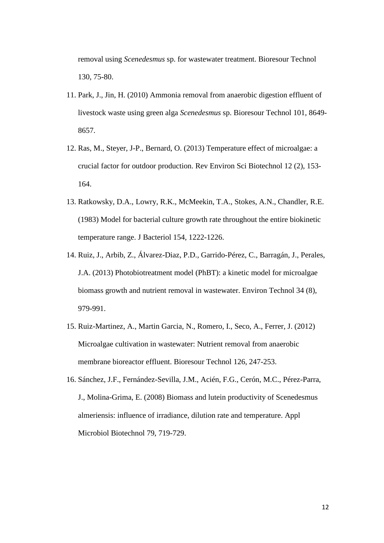removal using *Scenedesmus* sp. for wastewater treatment. Bioresour Technol 130, 75-80.

- 11. Park, J., Jin, H. (2010) Ammonia removal from anaerobic digestion effluent of livestock waste using green alga *Scenedesmus* sp. Bioresour Technol 101, 8649- 8657.
- 12. Ras, M., Steyer, J-P., Bernard, O. (2013) Temperature effect of microalgae: a crucial factor for outdoor production. Rev Environ Sci Biotechnol 12 (2), 153- 164.
- 13. Ratkowsky, D.A., Lowry, R.K., McMeekin, T.A., Stokes, A.N., Chandler, R.E. (1983) Model for bacterial culture growth rate throughout the entire biokinetic temperature range. J Bacteriol 154, 1222-1226.
- 14. Ruiz, J., Arbib, Z., Álvarez-Diaz, P.D., Garrido-Pérez, C., Barragán, J., Perales, J.A. (2013) Photobiotreatment model (PhBT): a kinetic model for microalgae biomass growth and nutrient removal in wastewater. Environ Technol 34 (8), 979-991.
- 15. Ruiz-Martinez, A., Martin Garcia, N., Romero, I., Seco, A., Ferrer, J. (2012) Microalgae cultivation in wastewater: Nutrient removal from anaerobic membrane bioreactor effluent. Bioresour Technol 126, 247-253.
- 16. Sánchez, J.F., Fernández-Sevilla, J.M., Acién, F.G., Cerón, M.C., Pérez-Parra, J., Molina-Grima, E. (2008) Biomass and lutein productivity of Scenedesmus almeriensis: influence of irradiance, dilution rate and temperature. Appl Microbiol Biotechnol 79, 719-729.